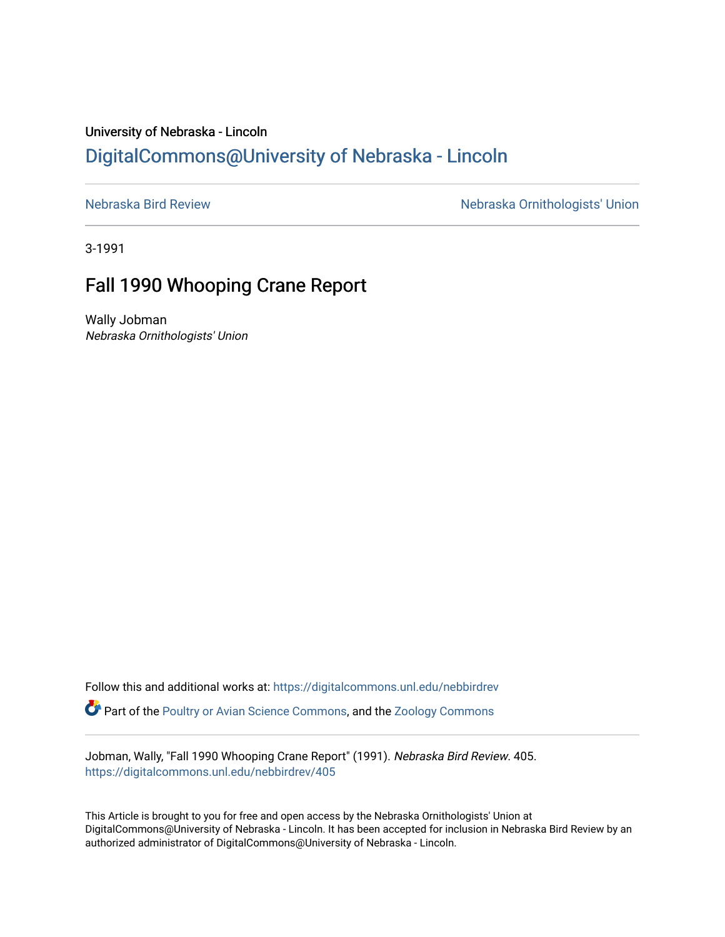## University of Nebraska - Lincoln [DigitalCommons@University of Nebraska - Lincoln](https://digitalcommons.unl.edu/)

[Nebraska Bird Review](https://digitalcommons.unl.edu/nebbirdrev) [Nebraska Ornithologists' Union](https://digitalcommons.unl.edu/nebornithologists) 

3-1991

## Fall 1990 Whooping Crane Report

Wally Jobman Nebraska Ornithologists' Union

Follow this and additional works at: [https://digitalcommons.unl.edu/nebbirdrev](https://digitalcommons.unl.edu/nebbirdrev?utm_source=digitalcommons.unl.edu%2Fnebbirdrev%2F405&utm_medium=PDF&utm_campaign=PDFCoverPages) **C** Part of the [Poultry or Avian Science Commons](http://network.bepress.com/hgg/discipline/80?utm_source=digitalcommons.unl.edu%2Fnebbirdrev%2F405&utm_medium=PDF&utm_campaign=PDFCoverPages), and the Zoology Commons

Jobman, Wally, "Fall 1990 Whooping Crane Report" (1991). Nebraska Bird Review. 405. [https://digitalcommons.unl.edu/nebbirdrev/405](https://digitalcommons.unl.edu/nebbirdrev/405?utm_source=digitalcommons.unl.edu%2Fnebbirdrev%2F405&utm_medium=PDF&utm_campaign=PDFCoverPages)

This Article is brought to you for free and open access by the Nebraska Ornithologists' Union at DigitalCommons@University of Nebraska - Lincoln. It has been accepted for inclusion in Nebraska Bird Review by an authorized administrator of DigitalCommons@University of Nebraska - Lincoln.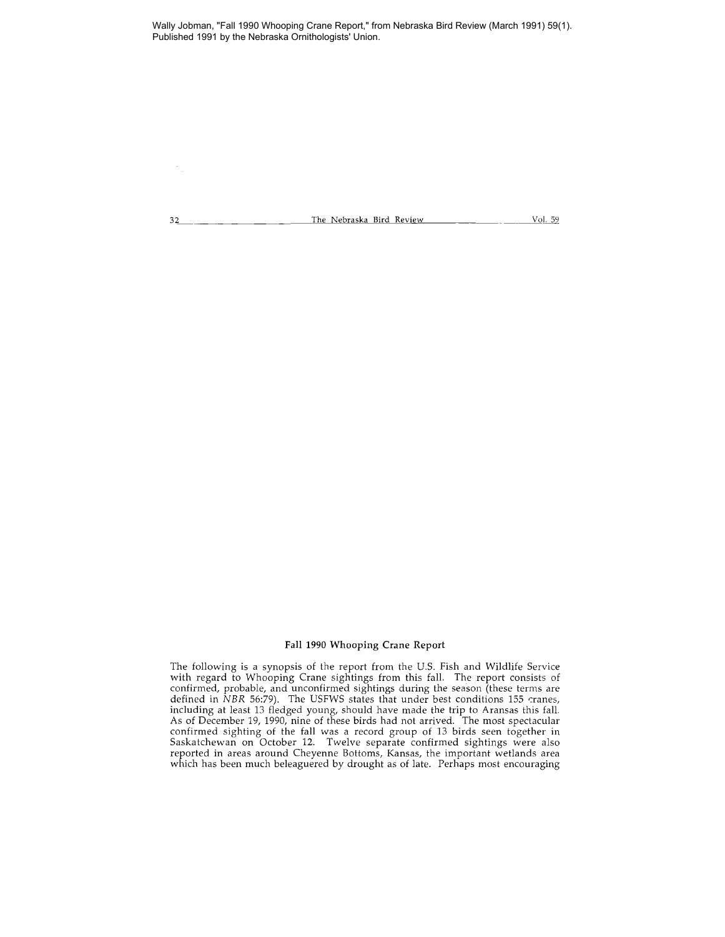Wally Jobman, "Fall 1990 Whooping Crane Report," from Nebraska Bird Review (March 1991) 59(1). Published 1991 by the Nebraska Ornithologists' Union.

32 \_\_\_\_\_\_\_\_\_\_\_\_\_\_\_\_\_\_\_\_\_\_\_The Nebraska Bird Review \_\_\_\_\_\_\_\_\_\_\_\_\_\_ \_\_\_\_ Vol. 59

## Fall 1990 Whooping Crane Report

The following is a synopsis of the report from the U.s. Fish and Wildlife Service with regard to Whooping Crane sightings from this fall. The report consists of confirmed, probable, and unconfirmed sightings during the season (these terms are defined in *NBR* 56:79). The USFWS states that under best conditions 155 cranes, including at least 13 fledged young, should have made the trip to Aransas this fall. As of December 19, 1990, nine of these birds had not arrived. The most spectacular confirmed sighting of the fall was a record group of 13 birds seen together in Saskatchewan on October 12. Twelve separate confirmed sightings were also reported in areas around Cheyenne Bottoms, Kansas, the important wetlands area which has been much beleaguered by drought as of late. Perhaps most encouraging